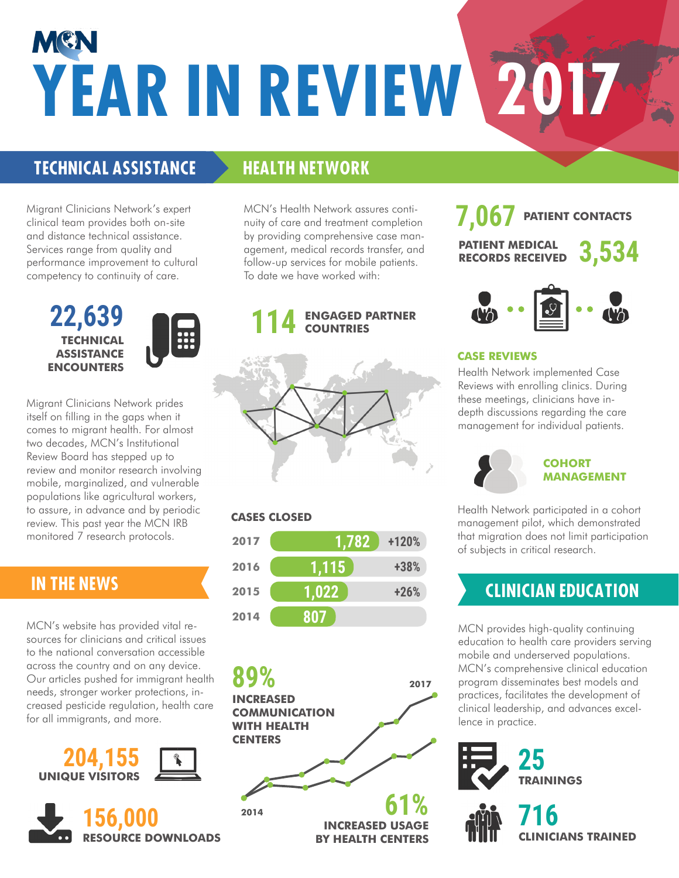# MEN **YEAR IN REVIEW 2017**

### **TECHNICAL ASSISTANCE**

Migrant Clinicians Network's expert clinical team provides both on-site and distance technical assistance. Services range from quality and performance improvement to cultural competency to continuity of care.

> **TECHNICAL ASSISTANCE ENCOUNTERS 22,639**



Migrant Clinicians Network prides itself on filling in the gaps when it comes to migrant health. For almost two decades, MCN's Institutional Review Board has stepped up to review and monitor research involving mobile, marginalized, and vulnerable populations like agricultural workers, to assure, in advance and by periodic review. This past year the MCN IRB monitored 7 research protocols.

#### **IN THE NEWS**

MCN's website has provided vital resources for clinicians and critical issues to the national conversation accessible across the country and on any device. Our articles pushed for immigrant health needs, stronger worker protections, increased pesticide regulation, health care for all immigrants, and more.





### **HEALTH NETWORK**

MCN's Health Network assures continuity of care and treatment completion by providing comprehensive case management, medical records transfer, and follow-up services for mobile patients. To date we have worked with:





#### **CASES CLOSED**

| 2017 | 1,782 | +120%  |
|------|-------|--------|
| 2016 | 1,115 | +38%   |
| 2015 | 1,022 | $+26%$ |
| 2014 | 807   |        |

**INCREASED COMMUNICATION WITH HEALTH CENTERS INCREASED USAGE BY HEALTH CENTERS RESOURCE DOWNLOADS EXAMPLE AND RY HEALTH CENTERS THE CLINICIANS TRAINED 89% 61% 2014 2017**

#### PATIENT MEDICAL **3,534 PATIENT CONTACTS RECORDS RECEIVED 7,067**



#### **CASE REVIEWS**

Health Network implemented Case Reviews with enrolling clinics. During these meetings, clinicians have indepth discussions regarding the care management for individual patients.

#### **COHORT MANAGEMENT**

Health Network participated in a cohort management pilot, which demonstrated that migration does not limit participation of subjects in critical research.

# **CLINICIAN EDUCATION**

MCN provides high-quality continuing education to health care providers serving mobile and underserved populations. MCN's comprehensive clinical education program disseminates best models and practices, facilitates the development of clinical leadership, and advances excellence in practice.